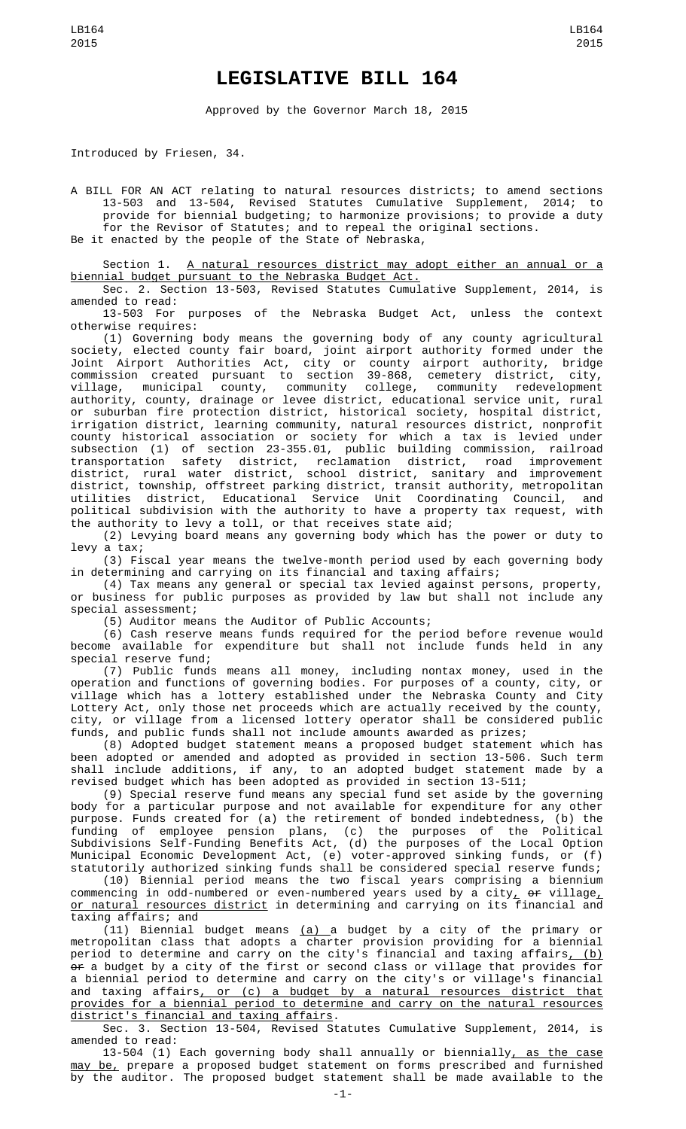## **LEGISLATIVE BILL 164**

Approved by the Governor March 18, 2015

Introduced by Friesen, 34.

A BILL FOR AN ACT relating to natural resources districts; to amend sections 13-503 and 13-504, Revised Statutes Cumulative Supplement, 2014; to provide for biennial budgeting; to harmonize provisions; to provide a duty for the Revisor of Statutes; and to repeal the original sections.

Be it enacted by the people of the State of Nebraska,

Section 1. A natural resources district may adopt either an annual or a biennial budget pursuant to the Nebraska Budget Act.

Sec. 2. Section 13-503, Revised Statutes Cumulative Supplement, 2014, is amended to read:<br>13-503 For

purposes of the Nebraska Budget Act, unless the context otherwise requires:

(1) Governing body means the governing body of any county agricultural society, elected county fair board, joint airport authority formed under the Joint Airport Authorities Act, city or county airport authority, bridge commission created pursuant to section 39-868, cemetery district, city, village, municipal county, community college, community redevelopment authority, county, drainage or levee district, educational service unit, rural or suburban fire protection district, historical society, hospital district, irrigation district, learning community, natural resources district, nonprofit county historical association or society for which a tax is levied under subsection (1) of section 23-355.01, public building commission, railroad transportation safety district, reclamation district, road improvement district, rural water district, school district, sanitary and improvement district, township, offstreet parking district, transit authority, metropolitan utilities district, Educational Service Unit Coordinating Council, and political subdivision with the authority to have a property tax request, with the authority to levy a toll, or that receives state aid;

(2) Levying board means any governing body which has the power or duty to levy a tax;

(3) Fiscal year means the twelve-month period used by each governing body in determining and carrying on its financial and taxing affairs;

(4) Tax means any general or special tax levied against persons, property, or business for public purposes as provided by law but shall not include any special assessment;

(5) Auditor means the Auditor of Public Accounts;

(6) Cash reserve means funds required for the period before revenue would become available for expenditure but shall not include funds held in any special reserve fund;

(7) Public funds means all money, including nontax money, used in the operation and functions of governing bodies. For purposes of a county, city, or village which has a lottery established under the Nebraska County and City Lottery Act, only those net proceeds which are actually received by the county, city, or village from a licensed lottery operator shall be considered public funds, and public funds shall not include amounts awarded as prizes;

(8) Adopted budget statement means a proposed budget statement which has been adopted or amended and adopted as provided in section 13-506. Such term shall include additions, if any, to an adopted budget statement made by a revised budget which has been adopted as provided in section 13-511;

(9) Special reserve fund means any special fund set aside by the governing body for a particular purpose and not available for expenditure for any other purpose. Funds created for (a) the retirement of bonded indebtedness, (b) the funding of employee pension plans, (c) the purposes of the Political Subdivisions Self-Funding Benefits Act, (d) the purposes of the Local Option Municipal Economic Development Act, (e) voter-approved sinking funds, or (f) statutorily authorized sinking funds shall be considered special reserve funds;

(10) Biennial period means the two fiscal years comprising a biennium commencing in odd-numbered or even-numbered years used by a city $_{L}$  <del>or</del> village $_{L}$ <u>or natural resources district</u> in determining and carrying on its financial and taxing affairs; and

 $(11)$  Biennial budget means  $(a)$  a budget by a city of the primary or metropolitan class that adopts a charter provision providing for a biennial period to determine and carry on the city's financial and taxing affairs<u>, (b)</u> <del>or</del> a budget by a city of the first or second class or village that provides for a biennial period to determine and carry on the city's or village's financial and taxing affairs<u>, or (c) a budget by a natural resources district that</u> provides for a biennial period to determine and carry on the natural resources district's financial and taxing affairs.

Sec. 3. Section 13-504, Revised Statutes Cumulative Supplement, 2014, is amended to read:

13-504 (1) Each governing body shall annually or biennially, as the case may be, prepare a proposed budget statement on forms prescribed and furnished by the auditor. The proposed budget statement shall be made available to the